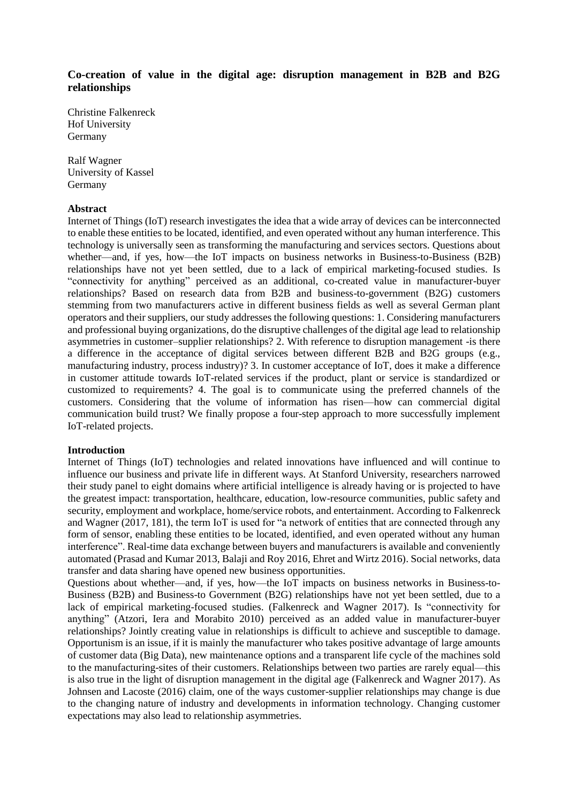# **Co-creation of value in the digital age: disruption management in B2B and B2G relationships**

Christine Falkenreck Hof University Germany

Ralf Wagner University of Kassel Germany

### **Abstract**

Internet of Things (IoT) research investigates the idea that a wide array of devices can be interconnected to enable these entities to be located, identified, and even operated without any human interference. This technology is universally seen as transforming the manufacturing and services sectors. Questions about whether—and, if yes, how—the IoT impacts on business networks in Business-to-Business (B2B) relationships have not yet been settled, due to a lack of empirical marketing-focused studies. Is "connectivity for anything" perceived as an additional, co-created value in manufacturer-buyer relationships? Based on research data from B2B and business-to-government (B2G) customers stemming from two manufacturers active in different business fields as well as several German plant operators and their suppliers, our study addresses the following questions: 1. Considering manufacturers and professional buying organizations, do the disruptive challenges of the digital age lead to relationship asymmetries in customer–supplier relationships? 2. With reference to disruption management -is there a difference in the acceptance of digital services between different B2B and B2G groups (e.g., manufacturing industry, process industry)? 3. In customer acceptance of IoT, does it make a difference in customer attitude towards IoT-related services if the product, plant or service is standardized or customized to requirements? 4. The goal is to communicate using the preferred channels of the customers. Considering that the volume of information has risen—how can commercial digital communication build trust? We finally propose a four-step approach to more successfully implement IoT-related projects.

# **Introduction**

Internet of Things (IoT) technologies and related innovations have influenced and will continue to influence our business and private life in different ways. At Stanford University, researchers narrowed their study panel to eight domains where artificial intelligence is already having or is projected to have the greatest impact: transportation, healthcare, education, low-resource communities, public safety and security, employment and workplace, home/service robots, and entertainment. According to Falkenreck and Wagner (2017, 181), the term IoT is used for "a network of entities that are connected through any form of sensor, enabling these entities to be located, identified, and even operated without any human interference". Real-time data exchange between buyers and manufacturers is available and conveniently automated (Prasad and Kumar 2013, Balaji and Roy 2016, Ehret and Wirtz 2016). Social networks, data transfer and data sharing have opened new business opportunities.

Questions about whether—and, if yes, how—the IoT impacts on business networks in Business-to-Business (B2B) and Business-to Government (B2G) relationships have not yet been settled, due to a lack of empirical marketing-focused studies. (Falkenreck and Wagner 2017). Is "connectivity for anything" (Atzori, Iera and Morabito 2010) perceived as an added value in manufacturer-buyer relationships? Jointly creating value in relationships is difficult to achieve and susceptible to damage. Opportunism is an issue, if it is mainly the manufacturer who takes positive advantage of large amounts of customer data (Big Data), new maintenance options and a transparent life cycle of the machines sold to the manufacturing-sites of their customers. Relationships between two parties are rarely equal—this is also true in the light of disruption management in the digital age (Falkenreck and Wagner 2017). As Johnsen and Lacoste (2016) claim, one of the ways customer-supplier relationships may change is due to the changing nature of industry and developments in information technology. Changing customer expectations may also lead to relationship asymmetries.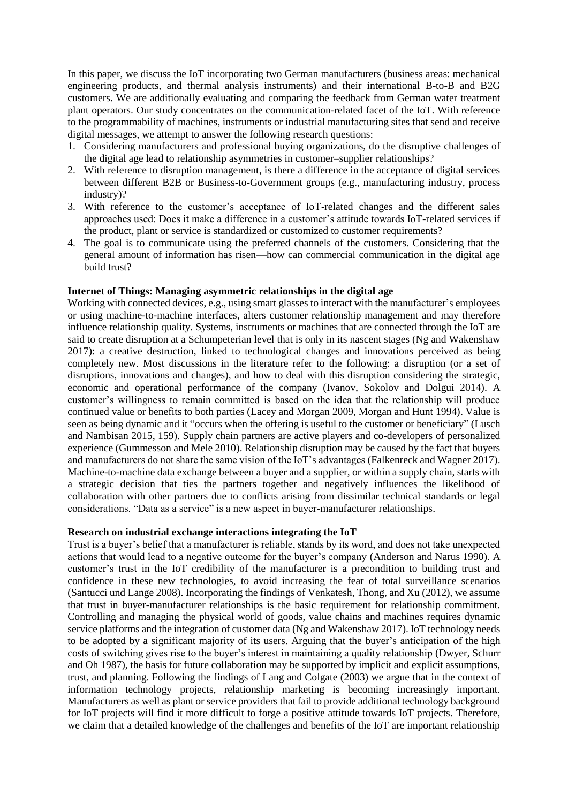In this paper, we discuss the IoT incorporating two German manufacturers (business areas: mechanical engineering products, and thermal analysis instruments) and their international B-to-B and B2G customers. We are additionally evaluating and comparing the feedback from German water treatment plant operators. Our study concentrates on the communication-related facet of the IoT. With reference to the programmability of machines, instruments or industrial manufacturing sites that send and receive digital messages, we attempt to answer the following research questions:

- 1. Considering manufacturers and professional buying organizations, do the disruptive challenges of the digital age lead to relationship asymmetries in customer–supplier relationships?
- 2. With reference to disruption management, is there a difference in the acceptance of digital services between different B2B or Business-to-Government groups (e.g., manufacturing industry, process industry)?
- 3. With reference to the customer's acceptance of IoT-related changes and the different sales approaches used: Does it make a difference in a customer's attitude towards IoT-related services if the product, plant or service is standardized or customized to customer requirements?
- 4. The goal is to communicate using the preferred channels of the customers. Considering that the general amount of information has risen—how can commercial communication in the digital age build trust?

### **Internet of Things: Managing asymmetric relationships in the digital age**

Working with connected devices, e.g., using smart glasses to interact with the manufacturer's employees or using machine-to-machine interfaces, alters customer relationship management and may therefore influence relationship quality. Systems, instruments or machines that are connected through the IoT are said to create disruption at a Schumpeterian level that is only in its nascent stages (Ng and Wakenshaw 2017): a creative destruction, linked to technological changes and innovations perceived as being completely new. Most discussions in the literature refer to the following: a disruption (or a set of disruptions, innovations and changes), and how to deal with this disruption considering the strategic, economic and operational performance of the company (Ivanov, Sokolov and Dolgui 2014). A customer's willingness to remain committed is based on the idea that the relationship will produce continued value or benefits to both parties (Lacey and Morgan 2009, Morgan and Hunt 1994). Value is seen as being dynamic and it "occurs when the offering is useful to the customer or beneficiary" (Lusch and Nambisan 2015, 159). Supply chain partners are active players and co-developers of personalized experience (Gummesson and Mele 2010). Relationship disruption may be caused by the fact that buyers and manufacturers do not share the same vision of the IoT's advantages (Falkenreck and Wagner 2017). Machine-to-machine data exchange between a buyer and a supplier, or within a supply chain, starts with a strategic decision that ties the partners together and negatively influences the likelihood of collaboration with other partners due to conflicts arising from dissimilar technical standards or legal considerations. "Data as a service" is a new aspect in buyer-manufacturer relationships.

#### **Research on industrial exchange interactions integrating the IoT**

Trust is a buyer's belief that a manufacturer is reliable, stands by its word, and does not take unexpected actions that would lead to a negative outcome for the buyer's company (Anderson and Narus 1990). A customer's trust in the IoT credibility of the manufacturer is a precondition to building trust and confidence in these new technologies, to avoid increasing the fear of total surveillance scenarios (Santucci und Lange 2008). Incorporating the findings of Venkatesh, Thong, and Xu (2012), we assume that trust in buyer-manufacturer relationships is the basic requirement for relationship commitment. Controlling and managing the physical world of goods, value chains and machines requires dynamic service platforms and the integration of customer data (Ng and Wakenshaw 2017). IoT technology needs to be adopted by a significant majority of its users. Arguing that the buyer's anticipation of the high costs of switching gives rise to the buyer's interest in maintaining a quality relationship (Dwyer, Schurr and Oh 1987), the basis for future collaboration may be supported by implicit and explicit assumptions, trust, and planning. Following the findings of Lang and Colgate (2003) we argue that in the context of information technology projects, relationship marketing is becoming increasingly important. Manufacturers as well as plant or service providers that fail to provide additional technology background for IoT projects will find it more difficult to forge a positive attitude towards IoT projects. Therefore, we claim that a detailed knowledge of the challenges and benefits of the IoT are important relationship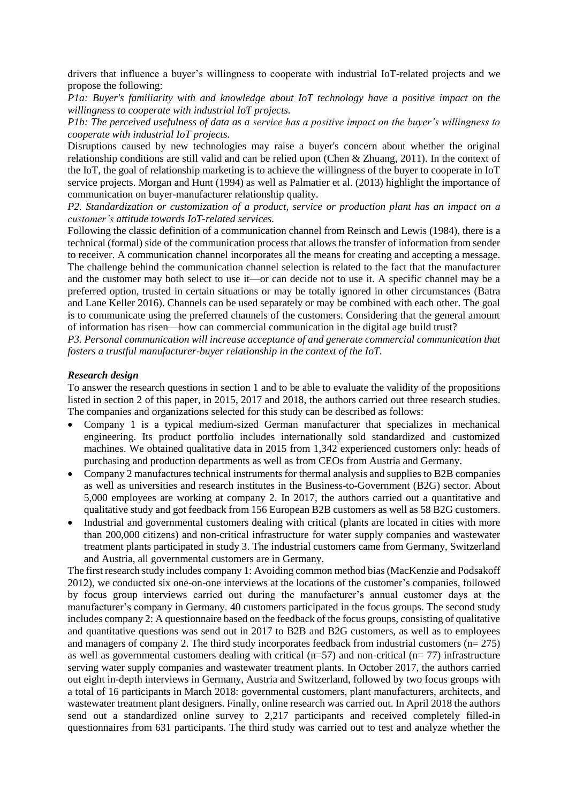drivers that influence a buyer's willingness to cooperate with industrial IoT-related projects and we propose the following:

*P1a: Buyer's familiarity with and knowledge about IoT technology have a positive impact on the willingness to cooperate with industrial IoT projects.*

*P1b: The perceived usefulness of data as a service has a positive impact on the buyer's willingness to cooperate with industrial IoT projects.*

Disruptions caused by new technologies may raise a buyer's concern about whether the original relationship conditions are still valid and can be relied upon (Chen & Zhuang, 2011). In the context of the IoT, the goal of relationship marketing is to achieve the willingness of the buyer to cooperate in IoT service projects. Morgan and Hunt (1994) as well as Palmatier et al. (2013) highlight the importance of communication on buyer-manufacturer relationship quality.

*P2. Standardization or customization of a product, service or production plant has an impact on a customer's attitude towards IoT-related services.*

Following the classic definition of a communication channel from Reinsch and Lewis (1984), there is a technical (formal) side of the communication process that allows the transfer of information from sender to receiver. A communication channel incorporates all the means for creating and accepting a message. The challenge behind the communication channel selection is related to the fact that the manufacturer and the customer may both select to use it—or can decide not to use it. A specific channel may be a preferred option, trusted in certain situations or may be totally ignored in other circumstances (Batra and Lane Keller 2016). Channels can be used separately or may be combined with each other. The goal is to communicate using the preferred channels of the customers. Considering that the general amount of information has risen—how can commercial communication in the digital age build trust?

*P3. Personal communication will increase acceptance of and generate commercial communication that fosters a trustful manufacturer-buyer relationship in the context of the IoT.*

### *Research design*

To answer the research questions in section 1 and to be able to evaluate the validity of the propositions listed in section 2 of this paper, in 2015, 2017 and 2018, the authors carried out three research studies. The companies and organizations selected for this study can be described as follows:

- Company 1 is a typical medium-sized German manufacturer that specializes in mechanical engineering. Its product portfolio includes internationally sold standardized and customized machines. We obtained qualitative data in 2015 from 1,342 experienced customers only: heads of purchasing and production departments as well as from CEOs from Austria and Germany.
- Company 2 manufactures technical instruments for thermal analysis and supplies to B2B companies as well as universities and research institutes in the Business-to-Government (B2G) sector. About 5,000 employees are working at company 2. In 2017, the authors carried out a quantitative and qualitative study and got feedback from 156 European B2B customers as well as 58 B2G customers.
- Industrial and governmental customers dealing with critical (plants are located in cities with more than 200,000 citizens) and non-critical infrastructure for water supply companies and wastewater treatment plants participated in study 3. The industrial customers came from Germany, Switzerland and Austria, all governmental customers are in Germany.

The first research study includes company 1: Avoiding common method bias (MacKenzie and Podsakoff 2012), we conducted six one-on-one interviews at the locations of the customer's companies, followed by focus group interviews carried out during the manufacturer's annual customer days at the manufacturer's company in Germany. 40 customers participated in the focus groups. The second study includes company 2: A questionnaire based on the feedback of the focus groups, consisting of qualitative and quantitative questions was send out in 2017 to B2B and B2G customers, as well as to employees and managers of company 2. The third study incorporates feedback from industrial customers  $(n= 275)$ as well as governmental customers dealing with critical ( $n=57$ ) and non-critical ( $n=77$ ) infrastructure serving water supply companies and wastewater treatment plants. In October 2017, the authors carried out eight in-depth interviews in Germany, Austria and Switzerland, followed by two focus groups with a total of 16 participants in March 2018: governmental customers, plant manufacturers, architects, and wastewater treatment plant designers. Finally, online research was carried out. In April 2018 the authors send out a standardized online survey to 2,217 participants and received completely filled-in questionnaires from 631 participants. The third study was carried out to test and analyze whether the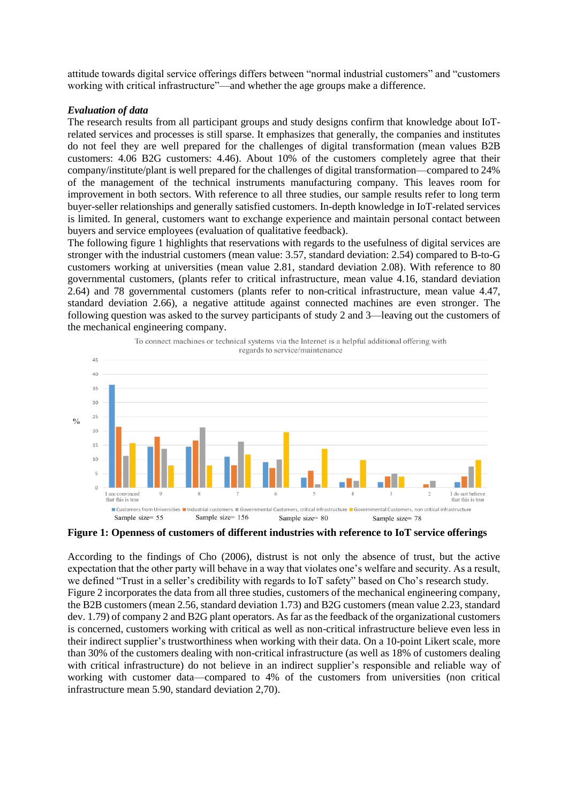attitude towards digital service offerings differs between "normal industrial customers" and "customers working with critical infrastructure"—and whether the age groups make a difference.

# *Evaluation of data*

The research results from all participant groups and study designs confirm that knowledge about IoTrelated services and processes is still sparse. It emphasizes that generally, the companies and institutes do not feel they are well prepared for the challenges of digital transformation (mean values B2B customers: 4.06 B2G customers: 4.46). About 10% of the customers completely agree that their company/institute/plant is well prepared for the challenges of digital transformation—compared to 24% of the management of the technical instruments manufacturing company. This leaves room for improvement in both sectors. With reference to all three studies, our sample results refer to long term buyer-seller relationships and generally satisfied customers. In-depth knowledge in IoT-related services is limited. In general, customers want to exchange experience and maintain personal contact between buyers and service employees (evaluation of qualitative feedback).

The following figure 1 highlights that reservations with regards to the usefulness of digital services are stronger with the industrial customers (mean value: 3.57, standard deviation: 2.54) compared to B-to-G customers working at universities (mean value 2.81, standard deviation 2.08). With reference to 80 governmental customers, (plants refer to critical infrastructure, mean value 4.16, standard deviation 2.64) and 78 governmental customers (plants refer to non-critical infrastructure, mean value 4.47, standard deviation 2.66), a negative attitude against connected machines are even stronger. The following question was asked to the survey participants of study 2 and 3—leaving out the customers of the mechanical engineering company.



**Figure 1: Openness of customers of different industries with reference to IoT service offerings**

According to the findings of Cho (2006), distrust is not only the absence of trust, but the active expectation that the other party will behave in a way that violates one's welfare and security. As a result, we defined "Trust in a seller's credibility with regards to IoT safety" based on Cho's research study. Figure 2 incorporates the data from all three studies, customers of the mechanical engineering company, the B2B customers (mean 2.56, standard deviation 1.73) and B2G customers (mean value 2.23, standard dev. 1.79) of company 2 and B2G plant operators. As far as the feedback of the organizational customers is concerned, customers working with critical as well as non-critical infrastructure believe even less in their indirect supplier's trustworthiness when working with their data. On a 10-point Likert scale, more than 30% of the customers dealing with non-critical infrastructure (as well as 18% of customers dealing with critical infrastructure) do not believe in an indirect supplier's responsible and reliable way of working with customer data—compared to 4% of the customers from universities (non critical infrastructure mean 5.90, standard deviation 2,70).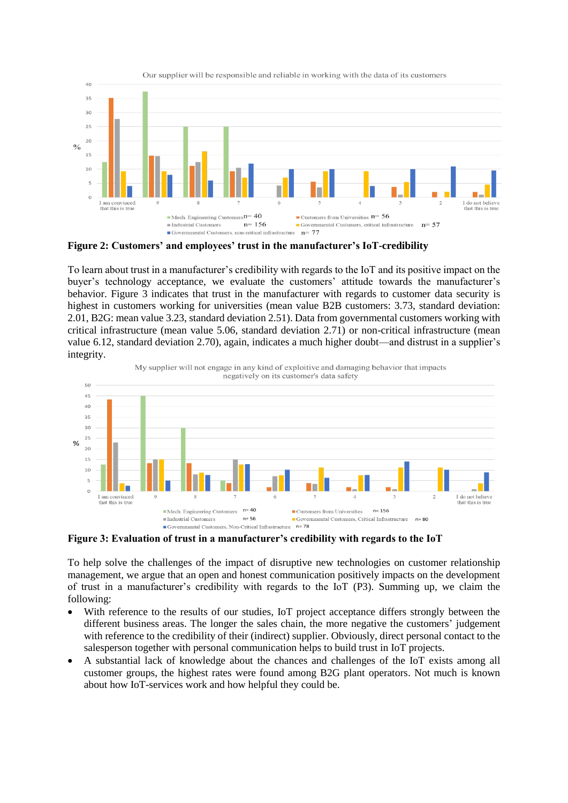

**Figure 2: Customers' and employees' trust in the manufacturer's IoT-credibility**

To learn about trust in a manufacturer's credibility with regards to the IoT and its positive impact on the buyer's technology acceptance, we evaluate the customers' attitude towards the manufacturer's behavior. Figure 3 indicates that trust in the manufacturer with regards to customer data security is highest in customers working for universities (mean value B2B customers: 3.73, standard deviation: 2.01, B2G: mean value 3.23, standard deviation 2.51). Data from governmental customers working with critical infrastructure (mean value 5.06, standard deviation 2.71) or non-critical infrastructure (mean value 6.12, standard deviation 2.70), again, indicates a much higher doubt—and distrust in a supplier's integrity.



**Figure 3: Evaluation of trust in a manufacturer's credibility with regards to the IoT**

To help solve the challenges of the impact of disruptive new technologies on customer relationship management, we argue that an open and honest communication positively impacts on the development of trust in a manufacturer's credibility with regards to the IoT (P3). Summing up, we claim the following:

- With reference to the results of our studies, IoT project acceptance differs strongly between the different business areas. The longer the sales chain, the more negative the customers' judgement with reference to the credibility of their (indirect) supplier. Obviously, direct personal contact to the salesperson together with personal communication helps to build trust in IoT projects.
- A substantial lack of knowledge about the chances and challenges of the IoT exists among all customer groups, the highest rates were found among B2G plant operators. Not much is known about how IoT-services work and how helpful they could be.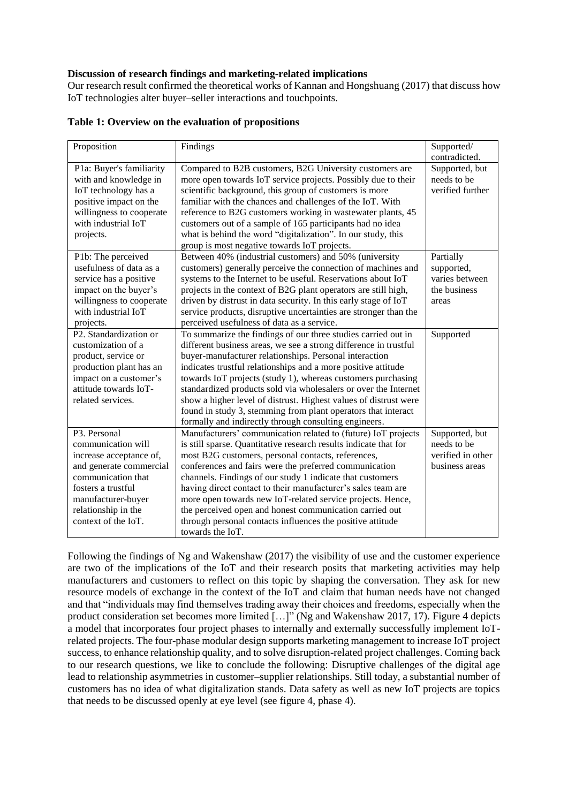# **Discussion of research findings and marketing-related implications**

Our research result confirmed the theoretical works of Kannan and Hongshuang (2017) that discuss how IoT technologies alter buyer–seller interactions and touchpoints.

| Proposition                                                                                                                                                                                              | Findings                                                                                                                                                                                                                                                                                                                                                                                                                                                                                                                                                                                      | Supported/<br>contradicted.                                          |
|----------------------------------------------------------------------------------------------------------------------------------------------------------------------------------------------------------|-----------------------------------------------------------------------------------------------------------------------------------------------------------------------------------------------------------------------------------------------------------------------------------------------------------------------------------------------------------------------------------------------------------------------------------------------------------------------------------------------------------------------------------------------------------------------------------------------|----------------------------------------------------------------------|
| P1a: Buyer's familiarity<br>with and knowledge in<br>IoT technology has a<br>positive impact on the<br>willingness to cooperate<br>with industrial IoT<br>projects.                                      | Compared to B2B customers, B2G University customers are<br>more open towards IoT service projects. Possibly due to their<br>scientific background, this group of customers is more<br>familiar with the chances and challenges of the IoT. With<br>reference to B2G customers working in wastewater plants, 45<br>customers out of a sample of 165 participants had no idea<br>what is behind the word "digitalization". In our study, this<br>group is most negative towards IoT projects.                                                                                                   | Supported, but<br>needs to be<br>verified further                    |
| P1b: The perceived<br>usefulness of data as a<br>service has a positive<br>impact on the buyer's<br>willingness to cooperate<br>with industrial IoT<br>projects.                                         | Between 40% (industrial customers) and 50% (university<br>customers) generally perceive the connection of machines and<br>systems to the Internet to be useful. Reservations about IoT<br>projects in the context of B2G plant operators are still high,<br>driven by distrust in data security. In this early stage of IoT<br>service products, disruptive uncertainties are stronger than the<br>perceived usefulness of data as a service.                                                                                                                                                 | Partially<br>supported,<br>varies between<br>the business<br>areas   |
| P2. Standardization or<br>customization of a<br>product, service or<br>production plant has an<br>impact on a customer's<br>attitude towards IoT-<br>related services.                                   | To summarize the findings of our three studies carried out in<br>different business areas, we see a strong difference in trustful<br>buyer-manufacturer relationships. Personal interaction<br>indicates trustful relationships and a more positive attitude<br>towards IoT projects (study 1), whereas customers purchasing<br>standardized products sold via wholesalers or over the Internet<br>show a higher level of distrust. Highest values of distrust were<br>found in study 3, stemming from plant operators that interact<br>formally and indirectly through consulting engineers. | Supported                                                            |
| P3. Personal<br>communication will<br>increase acceptance of,<br>and generate commercial<br>communication that<br>fosters a trustful<br>manufacturer-buyer<br>relationship in the<br>context of the IoT. | Manufacturers' communication related to (future) IoT projects<br>is still sparse. Quantitative research results indicate that for<br>most B2G customers, personal contacts, references,<br>conferences and fairs were the preferred communication<br>channels. Findings of our study 1 indicate that customers<br>having direct contact to their manufacturer's sales team are<br>more open towards new IoT-related service projects. Hence,<br>the perceived open and honest communication carried out<br>through personal contacts influences the positive attitude<br>towards the IoT.     | Supported, but<br>needs to be<br>verified in other<br>business areas |

|  |  | Table 1: Overview on the evaluation of propositions |  |  |
|--|--|-----------------------------------------------------|--|--|
|--|--|-----------------------------------------------------|--|--|

Following the findings of Ng and Wakenshaw (2017) the visibility of use and the customer experience are two of the implications of the IoT and their research posits that marketing activities may help manufacturers and customers to reflect on this topic by shaping the conversation. They ask for new resource models of exchange in the context of the IoT and claim that human needs have not changed and that "individuals may find themselves trading away their choices and freedoms, especially when the product consideration set becomes more limited [...]" (Ng and Wakenshaw 2017, 17). Figure 4 depicts a model that incorporates four project phases to internally and externally successfully implement IoTrelated projects. The four-phase modular design supports marketing management to increase IoT project success, to enhance relationship quality, and to solve disruption-related project challenges. Coming back to our research questions, we like to conclude the following: Disruptive challenges of the digital age lead to relationship asymmetries in customer–supplier relationships. Still today, a substantial number of customers has no idea of what digitalization stands. Data safety as well as new IoT projects are topics that needs to be discussed openly at eye level (see figure 4, phase 4).